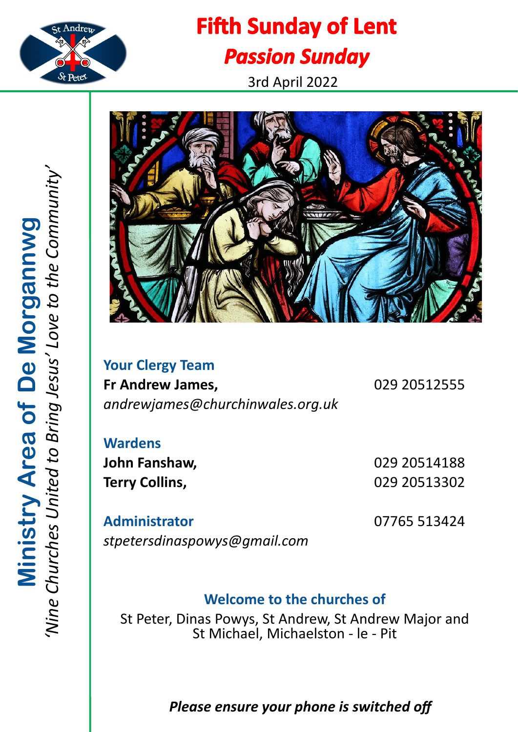

# **Fifth Sunday of Lent Passion Sunday**

3rd April 2022



**Your Clergy Team Fr Andrew James,** 029 20512555 *andrewjames@churchinwales.org.uk*

**Wardens John Fanshaw,** 029 20514188 **Terry Collins,** 029 20513302

**Administrator** 07765 513424 *stpetersdinaspowys@gmail.com*

# **Welcome to the churches of**

St Peter, Dinas Powys, St Andrew, St Andrew Major and St Michael, Michaelston - le - Pit

# *Please ensure your phone is switched off*

*'Nine Churches United to Bring Jesus' Love to the Community'* Ministry Area of De Morgannwg<br>
Wine Churches United to Bring Jesus' Love to the Community **Ministry Area of De Morgannwg**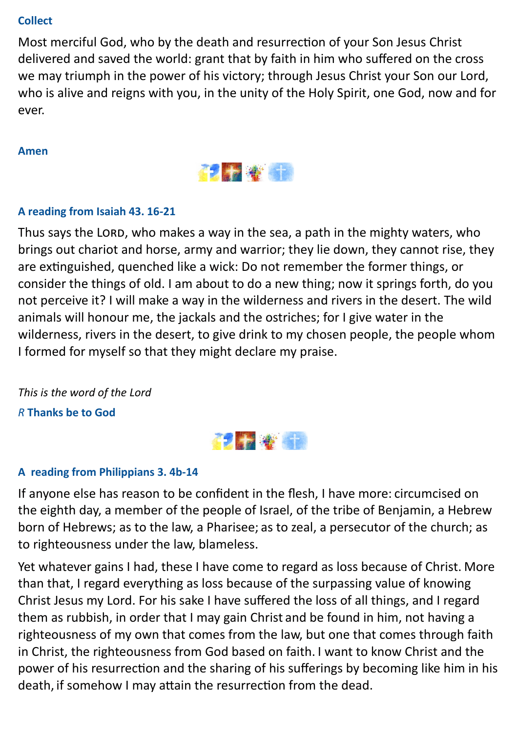## **Collect**

Most merciful God, who by the death and resurrection of your Son Jesus Christ delivered and saved the world: grant that by faith in him who suffered on the cross we may triumph in the power of his victory; through Jesus Christ your Son our Lord, who is alive and reigns with you, in the unity of the Holy Spirit, one God, now and for ever.

#### **Amen**



## **A reading from Isaiah 43. 16-21**

Thus says the LORD, who makes a way in the sea, a path in the mighty waters, who brings out chariot and horse, army and warrior; they lie down, they cannot rise, they are extinguished, quenched like a wick: Do not remember the former things, or consider the things of old. I am about to do a new thing; now it springs forth, do you not perceive it? I will make a way in the wilderness and rivers in the desert. The wild animals will honour me, the jackals and the ostriches; for I give water in the wilderness, rivers in the desert, to give drink to my chosen people, the people whom I formed for myself so that they might declare my praise.

*This is the word of the Lord R* **Thanks be to God**



# **A reading from Philippians 3. 4b-14**

If anyone else has reason to be confident in the flesh, I have more: circumcised on the eighth day, a member of the people of Israel, of the tribe of Benjamin, a Hebrew born of Hebrews; as to the law, a Pharisee; as to zeal, a persecutor of the church; as to righteousness under the law, blameless.

Yet whatever gains I had, these I have come to regard as loss because of Christ. More than that, I regard everything as loss because of the surpassing value of knowing Christ Jesus my Lord. For his sake I have suffered the loss of all things, and I regard them as rubbish, in order that I may gain Christ and be found in him, not having a righteousness of my own that comes from the law, but one that comes through faith in Christ, the righteousness from God based on faith. I want to know Christ and the power of his resurrection and the sharing of his sufferings by becoming like him in his death, if somehow I may attain the resurrection from the dead.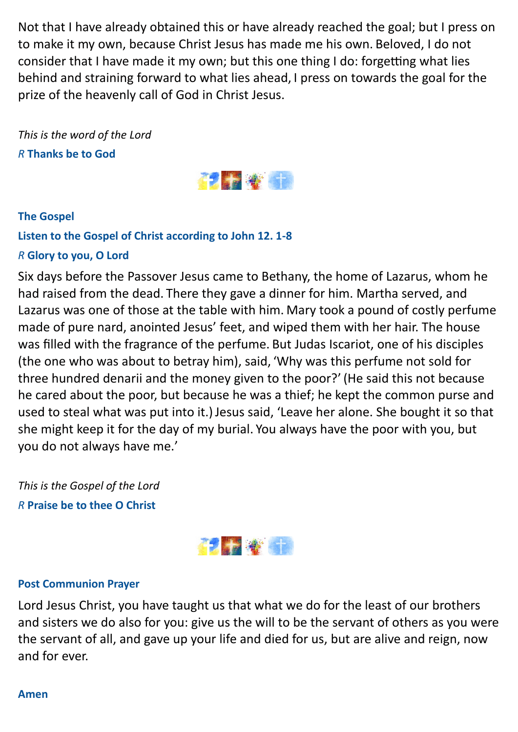Not that I have already obtained this or have already reached the goal; but I press on to make it my own, because Christ Jesus has made me his own. Beloved, I do not consider that I have made it my own; but this one thing I do: forgetting what lies behind and straining forward to what lies ahead, I press on towards the goal for the prize of the heavenly call of God in Christ Jesus.

*This is the word of the Lord R* **Thanks be to God**



## **The Gospel**

**Listen to the Gospel of Christ according to John 12. 1-8** *R* **Glory to you, O Lord**

Six days before the Passover Jesus came to Bethany, the home of Lazarus, whom he had raised from the dead. There they gave a dinner for him. Martha served, and Lazarus was one of those at the table with him. Mary took a pound of costly perfume made of pure nard, anointed Jesus' feet, and wiped them with her hair. The house was filled with the fragrance of the perfume. But Judas Iscariot, one of his disciples (the one who was about to betray him), said, 'Why was this perfume not sold for three hundred denarii and the money given to the poor?'(He said this not because he cared about the poor, but because he was a thief; he kept the common purse and used to steal what was put into it.) Jesus said, 'Leave her alone. She bought it so that she might keep it for the day of my burial. You always have the poor with you, but you do not always have me.'

*This is the Gospel of the Lord R* **Praise be to thee O Christ**



#### **Post Communion Prayer**

Lord Jesus Christ, you have taught us that what we do for the least of our brothers and sisters we do also for you: give us the will to be the servant of others as you were the servant of all, and gave up your life and died for us, but are alive and reign, now and for ever.

#### **Amen**